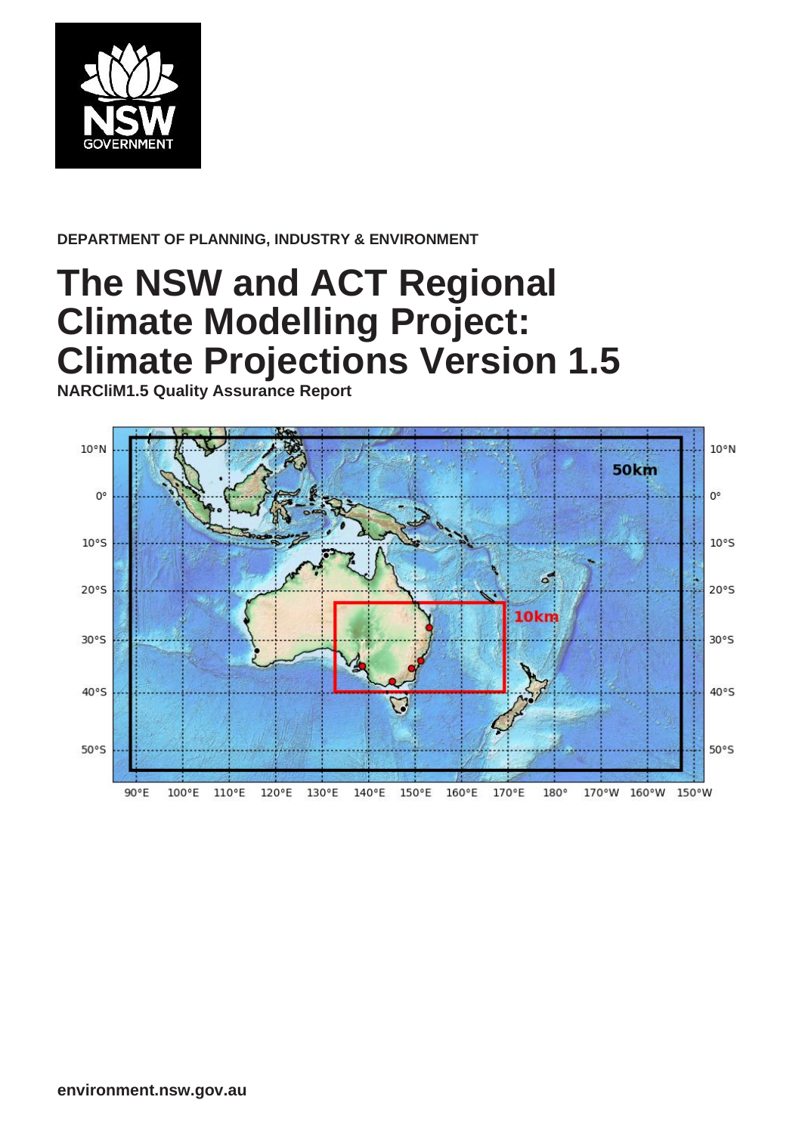

#### **DEPARTMENT OF PLANNING, INDUSTRY & ENVIRONMENT**

# **The NSW and ACT Regional Climate Modelling Project: Climate Projections Version 1.5**

**NARCliM1.5 Quality Assurance Report**

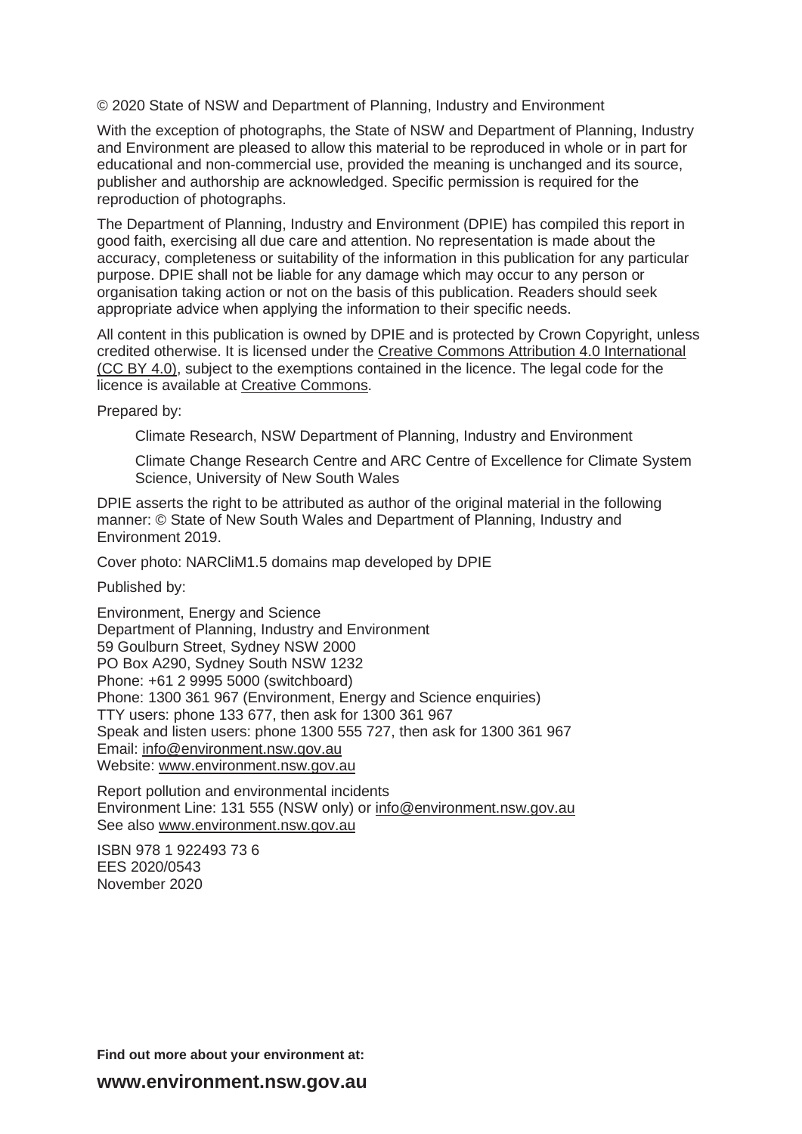© 2020 State of NSW and Department of Planning, Industry and Environment

With the exception of photographs, the State of NSW and Department of Planning, Industry and Environment are pleased to allow this material to be reproduced in whole or in part for educational and non-commercial use, provided the meaning is unchanged and its source, publisher and authorship are acknowledged. Specific permission is required for the reproduction of photographs.

The Department of Planning, Industry and Environment (DPIE) has compiled this report in good faith, exercising all due care and attention. No representation is made about the accuracy, completeness or suitability of the information in this publication for any particular purpose. DPIE shall not be liable for any damage which may occur to any person or organisation taking action or not on the basis of this publication. Readers should seek appropriate advice when applying the information to their specific needs.

All content in this publication is owned by DPIE and is protected by Crown Copyright, unless credited otherwise. It is licensed under the [Creative Commons Attribution 4.0 International](http://creativecommons.org/licenses/by/4.0/deed.en)  [\(CC BY 4.0\),](http://creativecommons.org/licenses/by/4.0/deed.en) subject to the exemptions contained in the licence. The legal code for the licence is available at [Creative Commons.](http://creativecommons.org/licenses/by/4.0/legalcode)

Prepared by:

Climate Research, NSW Department of Planning, Industry and Environment

Climate Change Research Centre and ARC Centre of Excellence for Climate System Science, University of New South Wales

DPIE asserts the right to be attributed as author of the original material in the following manner: © State of New South Wales and Department of Planning, Industry and Environment 2019.

Cover photo: NARCliM1.5 domains map developed by DPIE

Published by:

Environment, Energy and Science Department of Planning, Industry and Environment 59 Goulburn Street, Sydney NSW 2000 PO Box A290, Sydney South NSW 1232 Phone: +61 2 9995 5000 (switchboard) Phone: 1300 361 967 (Environment, Energy and Science enquiries) TTY users: phone 133 677, then ask for 1300 361 967 Speak and listen users: phone 1300 555 727, then ask for 1300 361 967 Email: [info@environment.nsw.gov.au](mailto:info@environment.nsw.gov.au) Website: [www.environment.nsw.gov.au](http://www.environment.nsw.gov.au/)

Report pollution and environmental incidents Environment Line: 131 555 (NSW only) or [info@environment.nsw.gov.au](mailto:info@environment.nsw.gov.au) See also [www.environment.nsw.gov.au](http://www.environment.nsw.gov.au/)

ISBN 978 1 922493 73 6 EES 2020/0543 November 2020

**Find out more about your environment at:**

**www.environment.nsw.gov.au**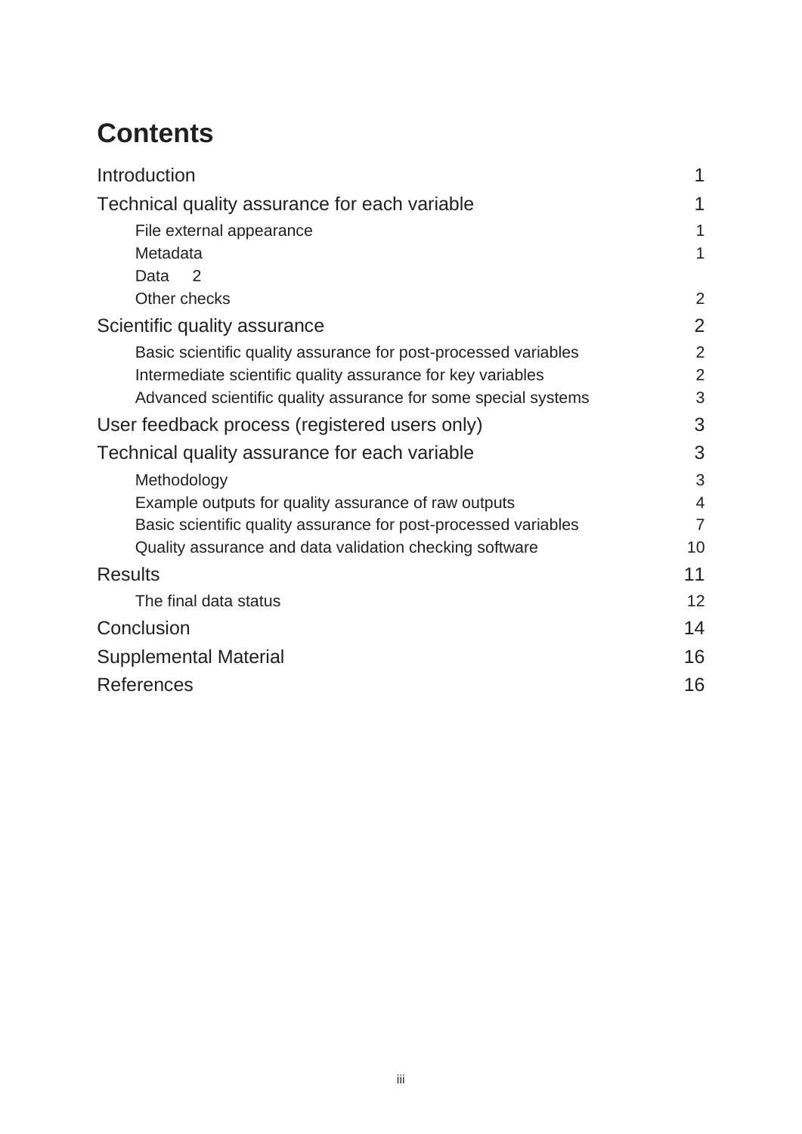# **Contents**

| Introduction                                                    |                          |
|-----------------------------------------------------------------|--------------------------|
| Technical quality assurance for each variable                   | 1                        |
| File external appearance                                        | 1                        |
| Metadata                                                        | 1                        |
| Data<br>$\mathcal{P}$                                           |                          |
| Other checks                                                    | 2                        |
| Scientific quality assurance                                    | $\overline{2}$           |
| Basic scientific quality assurance for post-processed variables | $\overline{2}$           |
| Intermediate scientific quality assurance for key variables     | $\overline{2}$           |
| Advanced scientific quality assurance for some special systems  | 3                        |
| User feedback process (registered users only)                   | 3                        |
| Technical quality assurance for each variable                   | 3                        |
| Methodology                                                     | 3                        |
| Example outputs for quality assurance of raw outputs            | $\overline{\mathcal{A}}$ |
| Basic scientific quality assurance for post-processed variables | $\overline{7}$           |
| Quality assurance and data validation checking software         | 10                       |
| <b>Results</b>                                                  | 11                       |
| The final data status                                           | 12                       |
| Conclusion                                                      | 14                       |
| <b>Supplemental Material</b>                                    | 16                       |
| References                                                      | 16                       |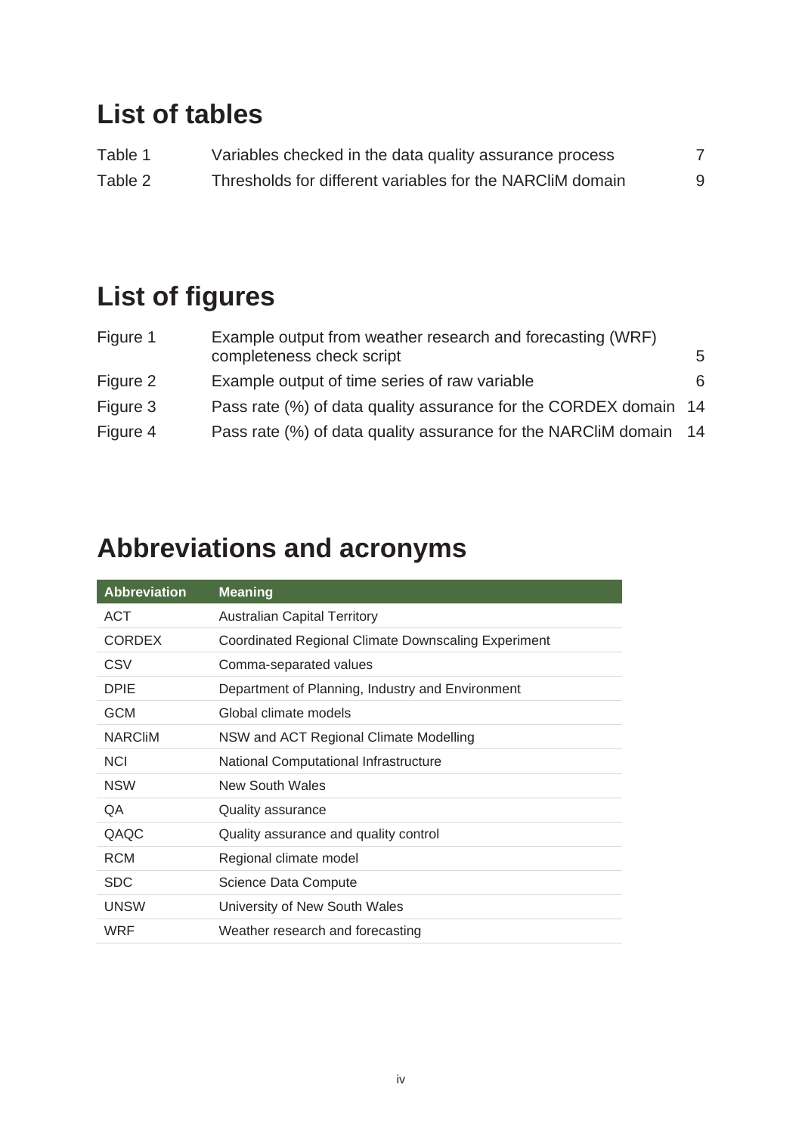## **List of tables**

| Table 1 | Variables checked in the data quality assurance process   |  |
|---------|-----------------------------------------------------------|--|
| Table 2 | Thresholds for different variables for the NARCIIM domain |  |

# **List of figures**

| Figure 1 | Example output from weather research and forecasting (WRF)        |   |
|----------|-------------------------------------------------------------------|---|
|          | completeness check script                                         | 5 |
| Figure 2 | Example output of time series of raw variable                     | 6 |
| Figure 3 | Pass rate (%) of data quality assurance for the CORDEX domain 14  |   |
| Figure 4 | Pass rate (%) of data quality assurance for the NARCIIM domain 14 |   |

# **Abbreviations and acronyms**

| <b>Abbreviation</b> | <b>Meaning</b>                                      |
|---------------------|-----------------------------------------------------|
| ACT                 | <b>Australian Capital Territory</b>                 |
| <b>CORDEX</b>       | Coordinated Regional Climate Downscaling Experiment |
| CSV                 | Comma-separated values                              |
| <b>DPIE</b>         | Department of Planning, Industry and Environment    |
| <b>GCM</b>          | Global climate models                               |
| <b>NARCIIM</b>      | NSW and ACT Regional Climate Modelling              |
| <b>NCI</b>          | <b>National Computational Infrastructure</b>        |
| <b>NSW</b>          | <b>New South Wales</b>                              |
| QA                  | Quality assurance                                   |
| QAQC                | Quality assurance and quality control               |
| <b>RCM</b>          | Regional climate model                              |
| <b>SDC</b>          | Science Data Compute                                |
| <b>UNSW</b>         | University of New South Wales                       |
| WRF                 | Weather research and forecasting                    |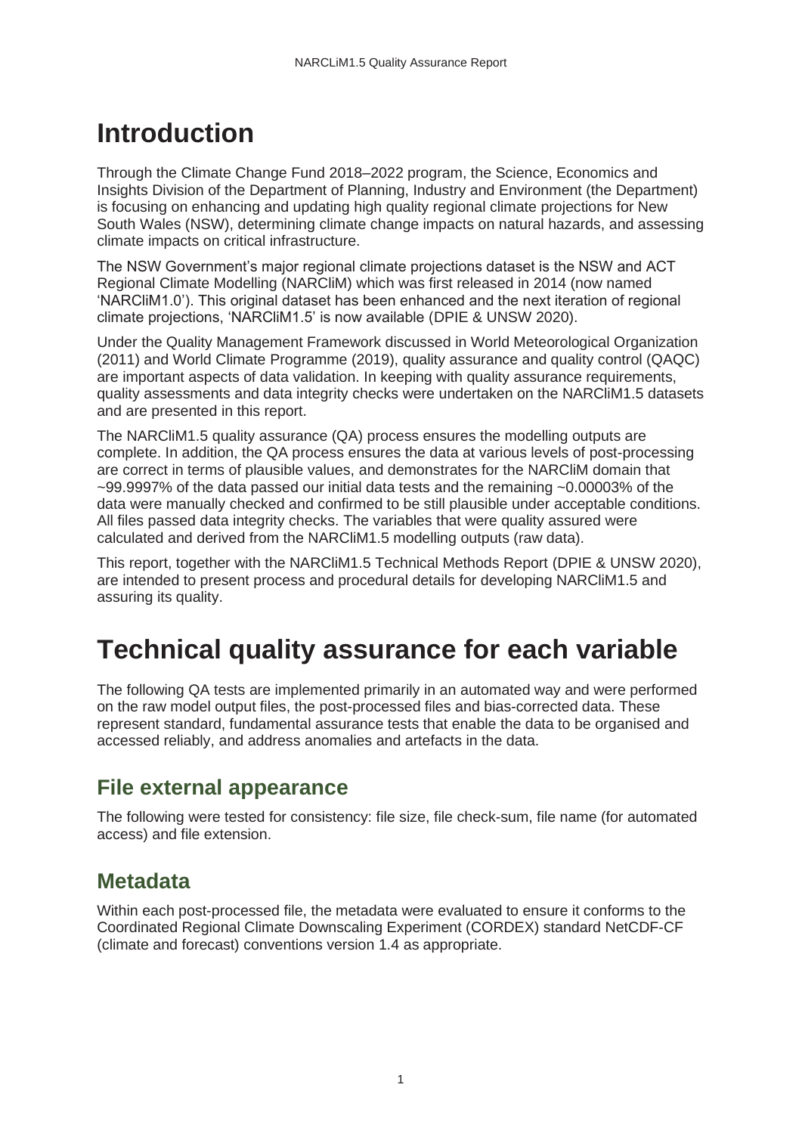## <span id="page-4-0"></span>**Introduction**

Through the Climate Change Fund 2018–2022 program, the Science, Economics and Insights Division of the Department of Planning, Industry and Environment (the Department) is focusing on enhancing and updating high quality regional climate projections for New South Wales (NSW), determining climate change impacts on natural hazards, and assessing climate impacts on critical infrastructure.

The NSW Government's major regional climate projections dataset is the NSW and ACT Regional Climate Modelling (NARCliM) which was first released in 2014 (now named 'NARCliM1.0'). This original dataset has been enhanced and the next iteration of regional climate projections, 'NARCliM1.5' is now available (DPIE & UNSW 2020).

Under the Quality Management Framework discussed in World Meteorological Organization (2011) and World Climate Programme (2019), quality assurance and quality control (QAQC) are important aspects of data validation. In keeping with quality assurance requirements, quality assessments and data integrity checks were undertaken on the NARCliM1.5 datasets and are presented in this report.

The NARCliM1.5 quality assurance (QA) process ensures the modelling outputs are complete. In addition, the QA process ensures the data at various levels of post-processing are correct in terms of plausible values, and demonstrates for the NARCliM domain that  $\sim$ 99.9997% of the data passed our initial data tests and the remaining  $\sim$ 0.00003% of the data were manually checked and confirmed to be still plausible under acceptable conditions. All files passed data integrity checks. The variables that were quality assured were calculated and derived from the NARCliM1.5 modelling outputs (raw data).

This report, together with the NARCliM1.5 Technical Methods Report (DPIE & UNSW 2020), are intended to present process and procedural details for developing NARCliM1.5 and assuring its quality.

## <span id="page-4-1"></span>**Technical quality assurance for each variable**

The following QA tests are implemented primarily in an automated way and were performed on the raw model output files, the post-processed files and bias-corrected data. These represent standard, fundamental assurance tests that enable the data to be organised and accessed reliably, and address anomalies and artefacts in the data.

#### <span id="page-4-2"></span>**File external appearance**

The following were tested for consistency: file size, file check-sum, file name (for automated access) and file extension.

## <span id="page-4-3"></span>**Metadata**

Within each post-processed file, the metadata were evaluated to ensure it conforms to the Coordinated Regional Climate Downscaling Experiment (CORDEX) standard NetCDF-CF (climate and forecast) conventions version 1.4 as appropriate.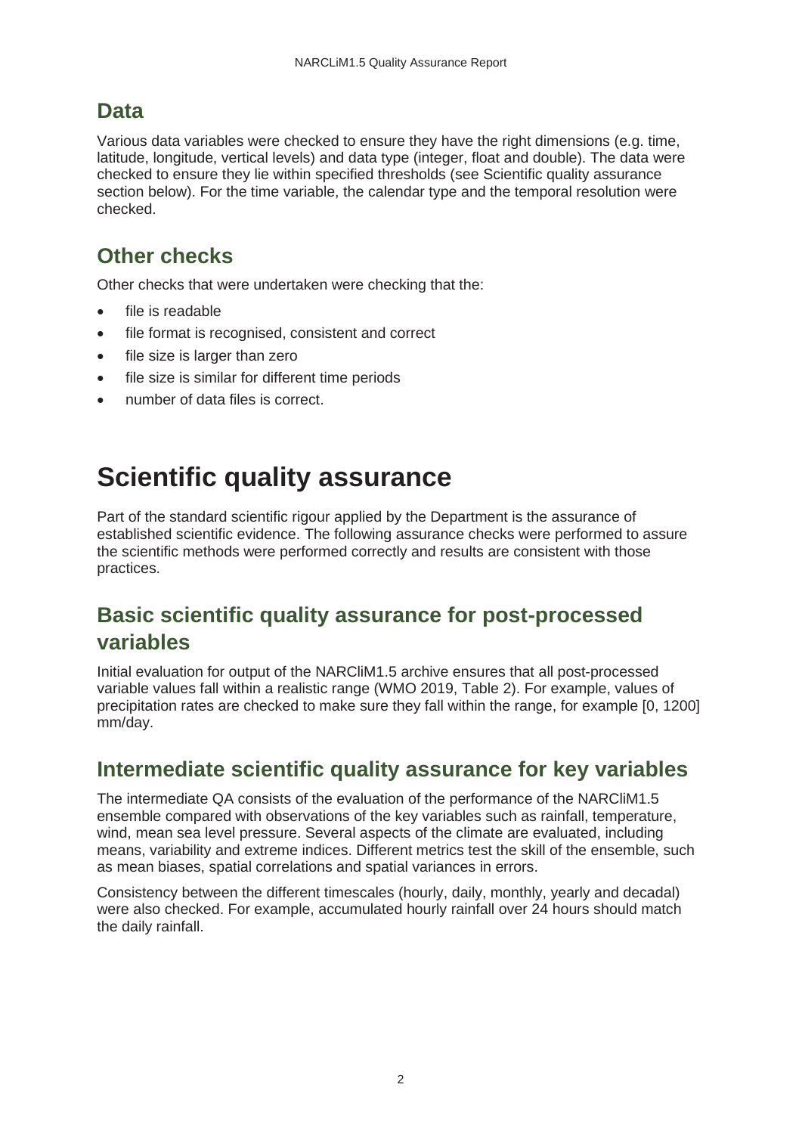### <span id="page-5-0"></span>**Data**

Various data variables were checked to ensure they have the right dimensions (e.g. time, latitude, longitude, vertical levels) and data type (integer, float and double). The data were checked to ensure they lie within specified thresholds (see Scientific quality assurance section below). For the time variable, the calendar type and the temporal resolution were checked.

## <span id="page-5-1"></span>**Other checks**

Other checks that were undertaken were checking that the:

- file is readable
- file format is recognised, consistent and correct
- file size is larger than zero
- file size is similar for different time periods
- number of data files is correct.

## <span id="page-5-2"></span>**Scientific quality assurance**

Part of the standard scientific rigour applied by the Department is the assurance of established scientific evidence. The following assurance checks were performed to assure the scientific methods were performed correctly and results are consistent with those practices.

### <span id="page-5-3"></span>**Basic scientific quality assurance for post-processed variables**

Initial evaluation for output of the NARCliM1.5 archive ensures that all post-processed variable values fall within a realistic range (WMO 2019, Table 2). For example, values of precipitation rates are checked to make sure they fall within the range, for example [0, 1200] mm/day.

#### <span id="page-5-4"></span>**Intermediate scientific quality assurance for key variables**

The intermediate QA consists of the evaluation of the performance of the NARCliM1.5 ensemble compared with observations of the key variables such as rainfall, temperature, wind, mean sea level pressure. Several aspects of the climate are evaluated, including means, variability and extreme indices. Different metrics test the skill of the ensemble, such as mean biases, spatial correlations and spatial variances in errors.

Consistency between the different timescales (hourly, daily, monthly, yearly and decadal) were also checked. For example, accumulated hourly rainfall over 24 hours should match the daily rainfall.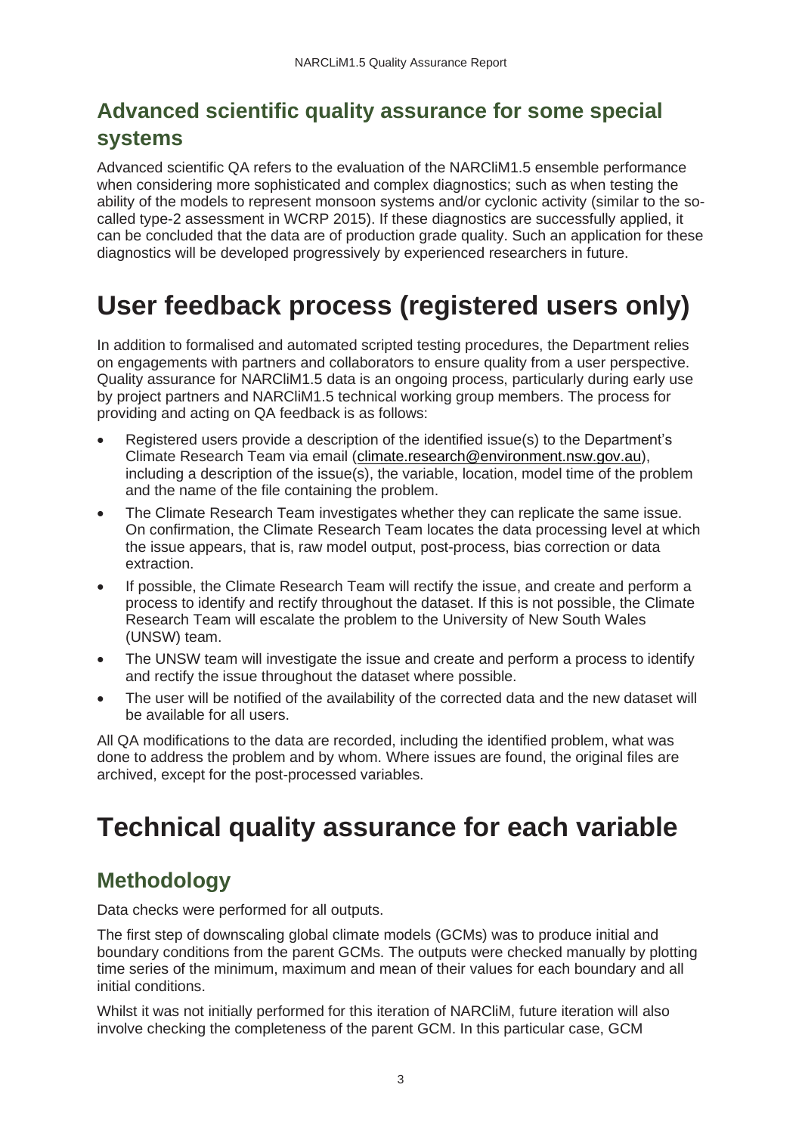## <span id="page-6-0"></span>**Advanced scientific quality assurance for some special systems**

Advanced scientific QA refers to the evaluation of the NARCliM1.5 ensemble performance when considering more sophisticated and complex diagnostics; such as when testing the ability of the models to represent monsoon systems and/or cyclonic activity (similar to the socalled type-2 assessment in WCRP 2015). If these diagnostics are successfully applied, it can be concluded that the data are of production grade quality. Such an application for these diagnostics will be developed progressively by experienced researchers in future.

## <span id="page-6-1"></span>**User feedback process (registered users only)**

In addition to formalised and automated scripted testing procedures, the Department relies on engagements with partners and collaborators to ensure quality from a user perspective. Quality assurance for NARCliM1.5 data is an ongoing process, particularly during early use by project partners and NARCliM1.5 technical working group members. The process for providing and acting on QA feedback is as follows:

- Registered users provide a description of the identified issue(s) to the Department's Climate Research Team via email [\(climate.research@environment.nsw.gov.au\)](mailto:climate.research@environment.nsw.gov.au), including a description of the issue(s), the variable, location, model time of the problem and the name of the file containing the problem.
- The Climate Research Team investigates whether they can replicate the same issue. On confirmation, the Climate Research Team locates the data processing level at which the issue appears, that is, raw model output, post-process, bias correction or data extraction.
- If possible, the Climate Research Team will rectify the issue, and create and perform a process to identify and rectify throughout the dataset. If this is not possible, the Climate Research Team will escalate the problem to the University of New South Wales (UNSW) team.
- The UNSW team will investigate the issue and create and perform a process to identify and rectify the issue throughout the dataset where possible.
- The user will be notified of the availability of the corrected data and the new dataset will be available for all users.

All QA modifications to the data are recorded, including the identified problem, what was done to address the problem and by whom. Where issues are found, the original files are archived, except for the post-processed variables.

## <span id="page-6-2"></span>**Technical quality assurance for each variable**

## <span id="page-6-3"></span>**Methodology**

Data checks were performed for all outputs.

The first step of downscaling global climate models (GCMs) was to produce initial and boundary conditions from the parent GCMs. The outputs were checked manually by plotting time series of the minimum, maximum and mean of their values for each boundary and all initial conditions.

Whilst it was not initially performed for this iteration of NARCliM, future iteration will also involve checking the completeness of the parent GCM. In this particular case, GCM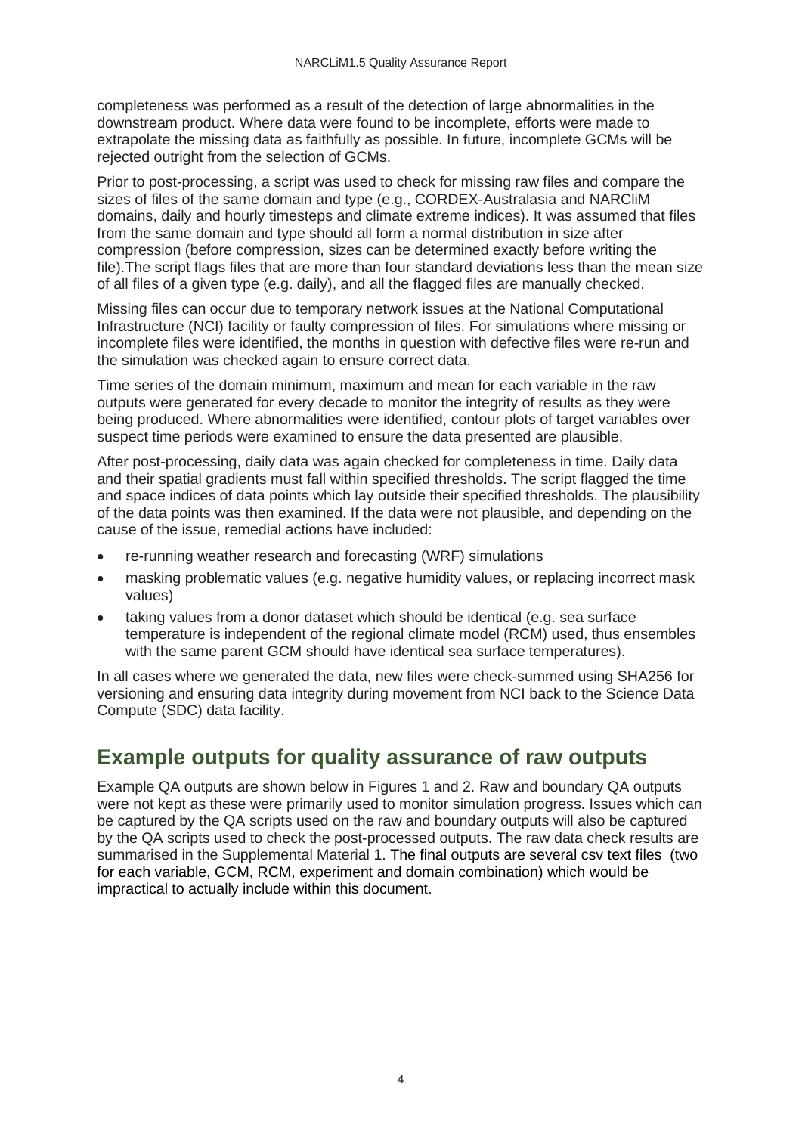completeness was performed as a result of the detection of large abnormalities in the downstream product. Where data were found to be incomplete, efforts were made to extrapolate the missing data as faithfully as possible. In future, incomplete GCMs will be rejected outright from the selection of GCMs.

Prior to post-processing, a script was used to check for missing raw files and compare the sizes of files of the same domain and type (e.g., CORDEX-Australasia and NARCliM domains, daily and hourly timesteps and climate extreme indices). It was assumed that files from the same domain and type should all form a normal distribution in size after compression (before compression, sizes can be determined exactly before writing the file).The script flags files that are more than four standard deviations less than the mean size of all files of a given type (e.g. daily), and all the flagged files are manually checked.

Missing files can occur due to temporary network issues at the National Computational Infrastructure (NCI) facility or faulty compression of files. For simulations where missing or incomplete files were identified, the months in question with defective files were re-run and the simulation was checked again to ensure correct data.

Time series of the domain minimum, maximum and mean for each variable in the raw outputs were generated for every decade to monitor the integrity of results as they were being produced. Where abnormalities were identified, contour plots of target variables over suspect time periods were examined to ensure the data presented are plausible.

After post-processing, daily data was again checked for completeness in time. Daily data and their spatial gradients must fall within specified thresholds. The script flagged the time and space indices of data points which lay outside their specified thresholds. The plausibility of the data points was then examined. If the data were not plausible, and depending on the cause of the issue, remedial actions have included:

- re-running weather research and forecasting (WRF) simulations
- masking problematic values (e.g. negative humidity values, or replacing incorrect mask values)
- taking values from a donor dataset which should be identical (e.g. sea surface temperature is independent of the regional climate model (RCM) used, thus ensembles with the same parent GCM should have identical sea surface temperatures).

In all cases where we generated the data, new files were check-summed using SHA256 for versioning and ensuring data integrity during movement from NCI back to the Science Data Compute (SDC) data facility.

#### <span id="page-7-0"></span>**Example outputs for quality assurance of raw outputs**

Example QA outputs are shown below in Figures 1 and 2. Raw and boundary QA outputs were not kept as these were primarily used to monitor simulation progress. Issues which can be captured by the QA scripts used on the raw and boundary outputs will also be captured by the QA scripts used to check the post-processed outputs. The raw data check results are summarised in the Supplemental Material 1. The final outputs are several csv text files (two for each variable, GCM, RCM, experiment and domain combination) which would be impractical to actually include within this document.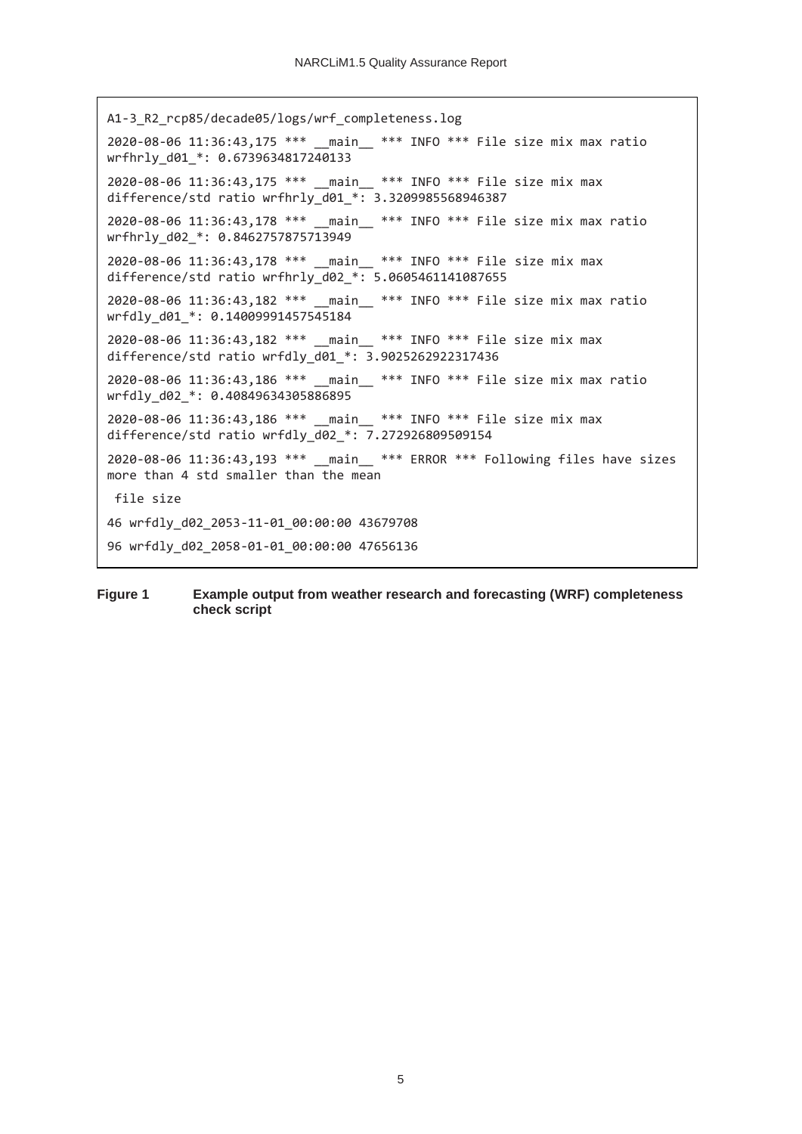```
A1-3_R2_rcp85/decade05/logs/wrf_completeness.log
2020-08-06 11:36:43,175 *** main *** INFO *** File size mix max ratio
wrfhrly_d01_*: 0.6739634817240133
2020-08-06 11:36:43,175 *** __main__ *** INFO *** File size mix max 
difference/std ratio wrfhrly_d01_*: 3.3209985568946387
2020-08-06 11:36:43,178 *** __main__ *** INFO *** File size mix max ratio 
wrfhrly_d02_*: 0.8462757875713949
2020-08-06 11:36:43,178 *** main *** INFO *** File size mix max
difference/std ratio wrfhrly_d02_*: 5.0605461141087655
2020-08-06 11:36:43,182 *** __main__ *** INFO *** File size mix max ratio 
wrfdly_d01_*: 0.14009991457545184
2020-08-06 11:36:43,182 *** __main__ *** INFO *** File size mix max 
difference/std ratio wrfdly_d01_*: 3.9025262922317436
2020-08-06 11:36:43,186 *** __main__ *** INFO *** File size mix max ratio 
wrfdly_d02_*: 0.40849634305886895
2020-08-06 11:36:43,186 *** __main__ *** INFO *** File size mix max 
difference/std ratio wrfdly_d02_*: 7.272926809509154
2020-08-06 11:36:43,193 *** __main__ *** ERROR *** Following files have sizes 
more than 4 std smaller than the mean
file size
46 wrfdly_d02_2053-11-01_00:00:00 43679708
96 wrfdly_d02_2058-01-01_00:00:00 47656136
```
#### <span id="page-8-0"></span>**Figure 1 Example output from weather research and forecasting (WRF) completeness check script**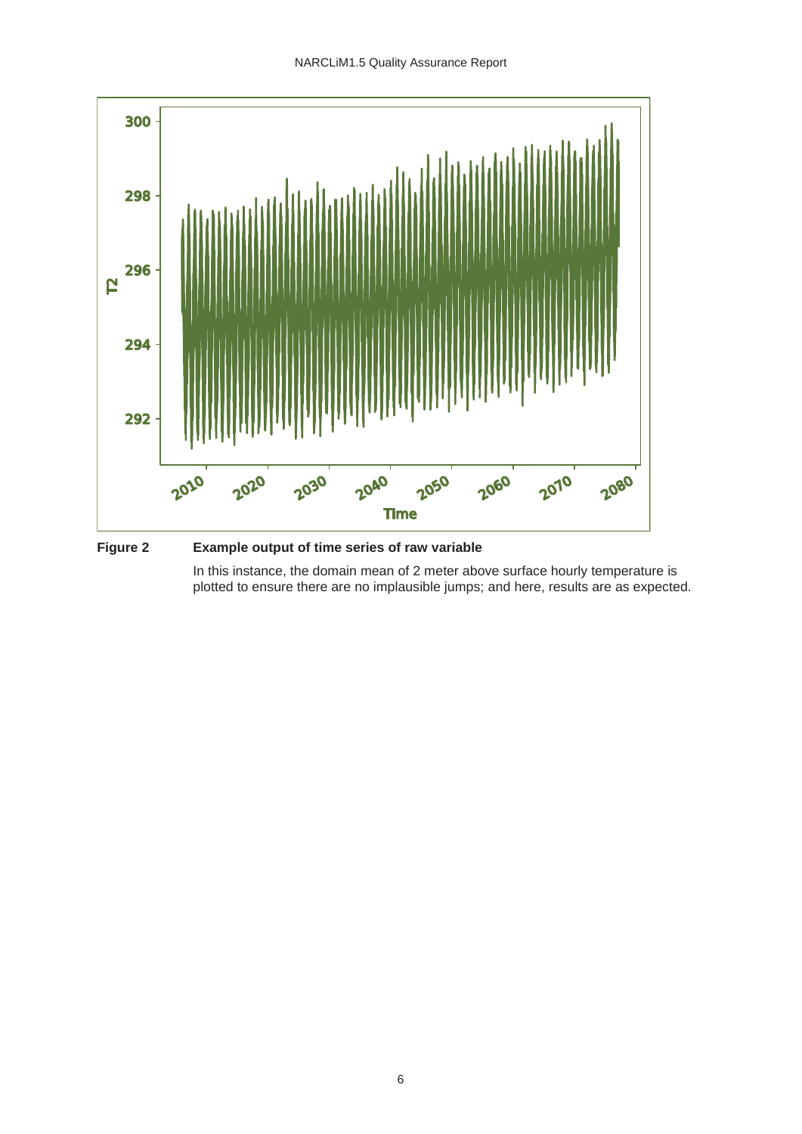

<span id="page-9-0"></span>**Figure 2 Example output of time series of raw variable**

In this instance, the domain mean of 2 meter above surface hourly temperature is plotted to ensure there are no implausible jumps; and here, results are as expected.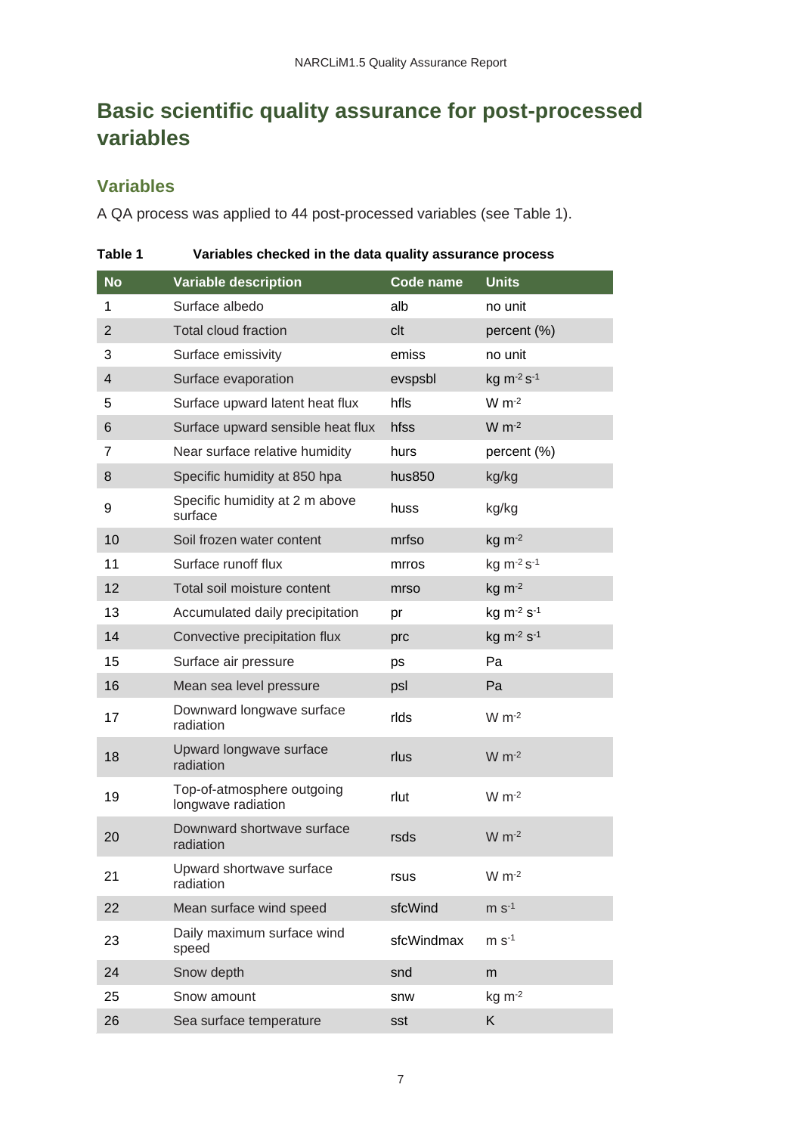## <span id="page-10-0"></span>**Basic scientific quality assurance for post-processed variables**

#### **Variables**

A QA process was applied to 44 post-processed variables (see Table 1).

| <b>No</b>               | <b>Variable description</b>                      | Code name  | <b>Units</b>                       |
|-------------------------|--------------------------------------------------|------------|------------------------------------|
| 1                       | Surface albedo                                   | alb        | no unit                            |
| $\overline{2}$          | Total cloud fraction                             | clt        | percent (%)                        |
| 3                       | Surface emissivity                               | emiss      | no unit                            |
| $\overline{\mathbf{4}}$ | Surface evaporation                              | evspsbl    | $kg m-2 s-1$                       |
| 5                       | Surface upward latent heat flux                  | hfls       | $W m-2$                            |
| 6                       | Surface upward sensible heat flux                | hfss       | $W m-2$                            |
| 7                       | Near surface relative humidity                   | hurs       | percent (%)                        |
| 8                       | Specific humidity at 850 hpa                     | hus850     | kg/kg                              |
| 9                       | Specific humidity at 2 m above<br>surface        | huss       | kg/kg                              |
| 10                      | Soil frozen water content                        | mrfso      | $kg \, m^{-2}$                     |
| 11                      | Surface runoff flux                              | mrros      | kg m-2 s-1                         |
| 12                      | Total soil moisture content                      | mrso       | $kg \, m^{-2}$                     |
| 13                      | Accumulated daily precipitation                  | pr         | kg m <sup>-2</sup> s <sup>-1</sup> |
| 14                      | Convective precipitation flux                    | prc        | kg $m^{-2} s^{-1}$                 |
| 15                      | Surface air pressure                             | ps         | Pa                                 |
| 16                      | Mean sea level pressure                          | psl        | Pa                                 |
| 17                      | Downward longwave surface<br>radiation           | rlds       | $W m-2$                            |
| 18                      | Upward longwave surface<br>radiation             | rlus       | $W m-2$                            |
| 19                      | Top-of-atmosphere outgoing<br>longwave radiation | rlut       | $W m-2$                            |
| 20                      | Downward shortwave surface<br>radiation          | rsds       | $W m-2$                            |
| 21                      | Upward shortwave surface<br>radiation            | rsus       | $W m-2$                            |
| 22                      | Mean surface wind speed                          | sfcWind    | $m s-1$                            |
| 23                      | Daily maximum surface wind<br>speed              | sfcWindmax | $m s-1$                            |
| 24                      | Snow depth                                       | snd        | m                                  |
| 25                      | Snow amount                                      | snw        | $kg \, m^{-2}$                     |
| 26                      | Sea surface temperature                          | sst        | K                                  |

<span id="page-10-1"></span>**Table 1 Variables checked in the data quality assurance process**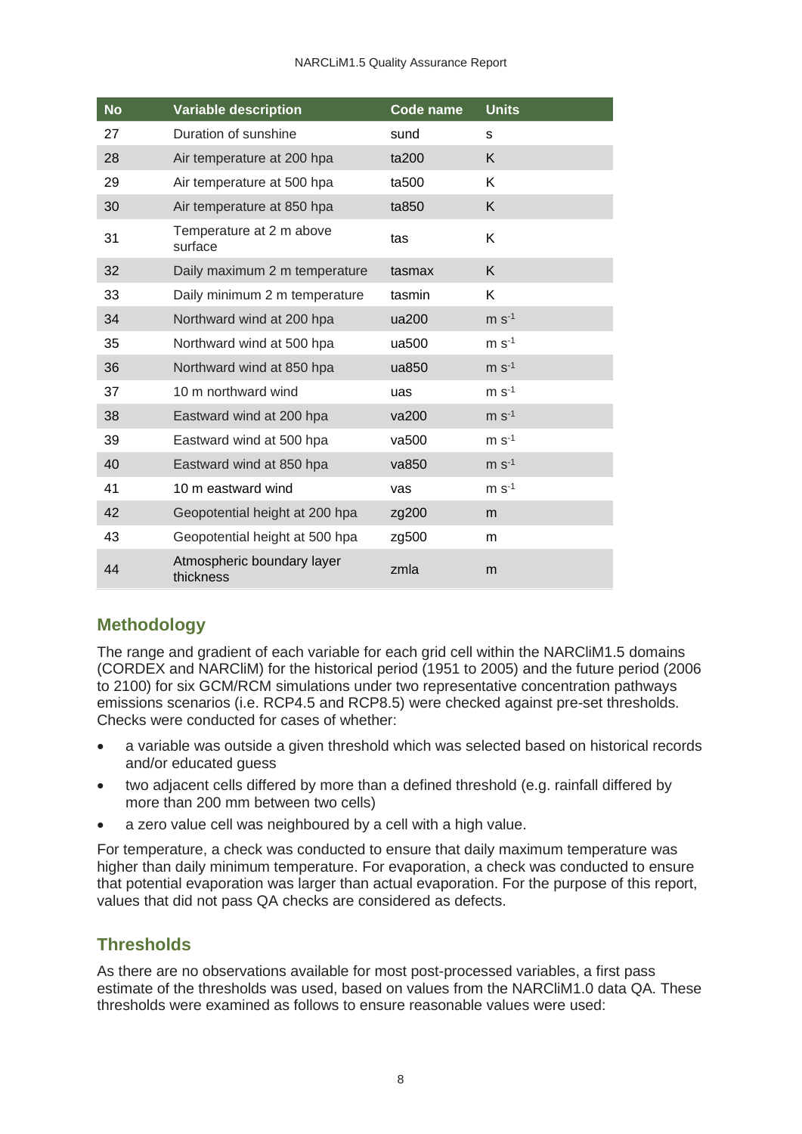#### NARCLiM1.5 Quality Assurance Report

| <b>No</b> | <b>Variable description</b>             | Code name | <b>Units</b> |
|-----------|-----------------------------------------|-----------|--------------|
| 27        | Duration of sunshine                    | sund      | s            |
| 28        | Air temperature at 200 hpa              | ta200     | K            |
| 29        | Air temperature at 500 hpa              | ta500     | K            |
| 30        | Air temperature at 850 hpa              | ta850     | K            |
| 31        | Temperature at 2 m above<br>surface     | tas       | K            |
| 32        | Daily maximum 2 m temperature           | tasmax    | K            |
| 33        | Daily minimum 2 m temperature           | tasmin    | K            |
| 34        | Northward wind at 200 hpa               | ua200     | $m s-1$      |
| 35        | Northward wind at 500 hpa               | ua500     | $m s-1$      |
| 36        | Northward wind at 850 hpa               | ua850     | $m s-1$      |
| 37        | 10 m northward wind                     | uas       | $m s-1$      |
| 38        | Eastward wind at 200 hpa                | va200     | $m S-1$      |
| 39        | Eastward wind at 500 hpa                | va500     | $m S-1$      |
| 40        | Eastward wind at 850 hpa                | va850     | $m s-1$      |
| 41        | 10 m eastward wind                      | vas       | $m s-1$      |
| 42        | Geopotential height at 200 hpa          | zg200     | m            |
| 43        | Geopotential height at 500 hpa          | zg500     | m            |
| 44        | Atmospheric boundary layer<br>thickness | zmla      | m            |

#### **Methodology**

The range and gradient of each variable for each grid cell within the NARCliM1.5 domains (CORDEX and NARCliM) for the historical period (1951 to 2005) and the future period (2006 to 2100) for six GCM/RCM simulations under two representative concentration pathways emissions scenarios (i.e. RCP4.5 and RCP8.5) were checked against pre-set thresholds. Checks were conducted for cases of whether:

- a variable was outside a given threshold which was selected based on historical records and/or educated guess
- two adjacent cells differed by more than a defined threshold (e.g. rainfall differed by more than 200 mm between two cells)
- a zero value cell was neighboured by a cell with a high value.

For temperature, a check was conducted to ensure that daily maximum temperature was higher than daily minimum temperature. For evaporation, a check was conducted to ensure that potential evaporation was larger than actual evaporation. For the purpose of this report, values that did not pass QA checks are considered as defects.

#### **Thresholds**

As there are no observations available for most post-processed variables, a first pass estimate of the thresholds was used, based on values from the NARCliM1.0 data QA. These thresholds were examined as follows to ensure reasonable values were used: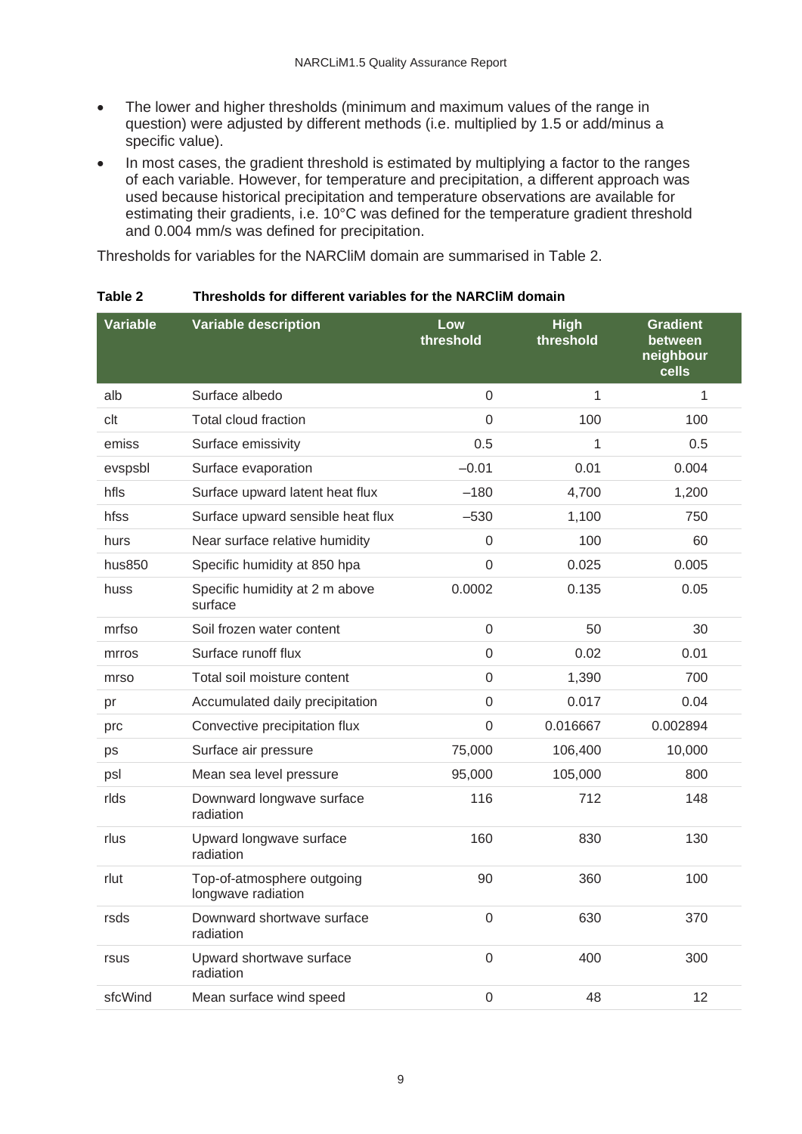- The lower and higher thresholds (minimum and maximum values of the range in question) were adjusted by different methods (i.e. multiplied by 1.5 or add/minus a specific value).
- In most cases, the gradient threshold is estimated by multiplying a factor to the ranges of each variable. However, for temperature and precipitation, a different approach was used because historical precipitation and temperature observations are available for estimating their gradients, i.e. 10°C was defined for the temperature gradient threshold and 0.004 mm/s was defined for precipitation.

Thresholds for variables for the NARCliM domain are summarised in Table 2.

| <b>Variable</b> | <b>Variable description</b>                      | Low<br>threshold | High<br>threshold | <b>Gradient</b><br>between<br>neighbour<br>cells |
|-----------------|--------------------------------------------------|------------------|-------------------|--------------------------------------------------|
| alb             | Surface albedo                                   | 0                | 1                 | 1                                                |
| clt             | <b>Total cloud fraction</b>                      | $\mathbf 0$      | 100               | 100                                              |
| emiss           | Surface emissivity                               | 0.5              | 1                 | 0.5                                              |
| evspsbl         | Surface evaporation                              | $-0.01$          | 0.01              | 0.004                                            |
| hfls            | Surface upward latent heat flux                  | $-180$           | 4,700             | 1,200                                            |
| hfss            | Surface upward sensible heat flux                | $-530$           | 1,100             | 750                                              |
| hurs            | Near surface relative humidity                   | 0                | 100               | 60                                               |
| hus850          | Specific humidity at 850 hpa                     | 0                | 0.025             | 0.005                                            |
| huss            | Specific humidity at 2 m above<br>surface        | 0.0002           | 0.135             | 0.05                                             |
| mrfso           | Soil frozen water content                        | $\mathbf 0$      | 50                | 30                                               |
| mrros           | Surface runoff flux                              | $\mathbf 0$      | 0.02              | 0.01                                             |
| mrso            | Total soil moisture content                      | $\Omega$         | 1,390             | 700                                              |
| pr              | Accumulated daily precipitation                  | 0                | 0.017             | 0.04                                             |
| prc             | Convective precipitation flux                    | $\Omega$         | 0.016667          | 0.002894                                         |
| ps              | Surface air pressure                             | 75,000           | 106,400           | 10,000                                           |
| psl             | Mean sea level pressure                          | 95,000           | 105,000           | 800                                              |
| rlds            | Downward longwave surface<br>radiation           | 116              | 712               | 148                                              |
| rlus            | Upward longwave surface<br>radiation             | 160              | 830               | 130                                              |
| rlut            | Top-of-atmosphere outgoing<br>longwave radiation | 90               | 360               | 100                                              |
| rsds            | Downward shortwave surface<br>radiation          | 0                | 630               | 370                                              |
| rsus            | Upward shortwave surface<br>radiation            | $\overline{0}$   | 400               | 300                                              |
| sfcWind         | Mean surface wind speed                          | $\mathbf 0$      | 48                | 12                                               |

<span id="page-12-0"></span>**Table 2 Thresholds for different variables for the NARCliM domain**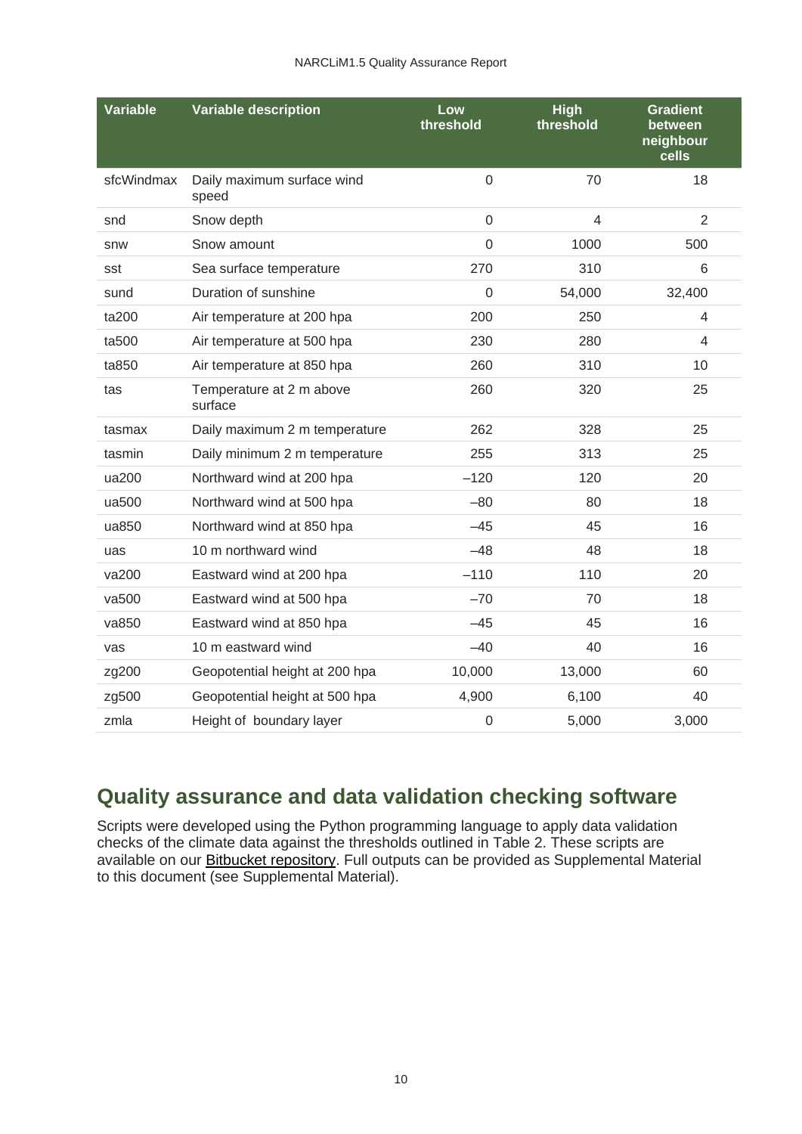| <b>Variable</b> | <b>Variable description</b>         | Low<br>threshold | <b>High</b><br>threshold | <b>Gradient</b><br>between<br>neighbour<br>cells |
|-----------------|-------------------------------------|------------------|--------------------------|--------------------------------------------------|
| sfcWindmax      | Daily maximum surface wind<br>speed | $\mathbf 0$      | 70                       | 18                                               |
| snd             | Snow depth                          | $\overline{0}$   | $\overline{4}$           | $\overline{2}$                                   |
| snw             | Snow amount                         | $\mathbf{0}$     | 1000                     | 500                                              |
| sst             | Sea surface temperature             | 270              | 310                      | 6                                                |
| sund            | Duration of sunshine                | $\Omega$         | 54,000                   | 32,400                                           |
| ta200           | Air temperature at 200 hpa          | 200              | 250                      | 4                                                |
| ta500           | Air temperature at 500 hpa          | 230              | 280                      | 4                                                |
| ta850           | Air temperature at 850 hpa          | 260              | 310                      | 10                                               |
| tas             | Temperature at 2 m above<br>surface | 260              | 320                      | 25                                               |
| tasmax          | Daily maximum 2 m temperature       | 262              | 328                      | 25                                               |
| tasmin          | Daily minimum 2 m temperature       | 255              | 313                      | 25                                               |
| ua200           | Northward wind at 200 hpa           | $-120$           | 120                      | 20                                               |
| ua500           | Northward wind at 500 hpa           | $-80$            | 80                       | 18                                               |
| ua850           | Northward wind at 850 hpa           | $-45$            | 45                       | 16                                               |
| uas             | 10 m northward wind                 | $-48$            | 48                       | 18                                               |
| va200           | Eastward wind at 200 hpa            | $-110$           | 110                      | 20                                               |
| va500           | Eastward wind at 500 hpa            | $-70$            | 70                       | 18                                               |
| va850           | Eastward wind at 850 hpa            | $-45$            | 45                       | 16                                               |
| vas             | 10 m eastward wind                  | $-40$            | 40                       | 16                                               |
| zg200           | Geopotential height at 200 hpa      | 10,000           | 13,000                   | 60                                               |
| zg500           | Geopotential height at 500 hpa      | 4,900            | 6,100                    | 40                                               |
| zmla            | Height of boundary layer            | $\boldsymbol{0}$ | 5,000                    | 3,000                                            |

### <span id="page-13-0"></span>**Quality assurance and data validation checking software**

Scripts were developed using the Python programming language to apply data validation checks of the climate data against the thresholds outlined in Table 2. These scripts are available on our **Bitbucket repository**. Full outputs can be provided as Supplemental Material to this document (see Supplemental Material).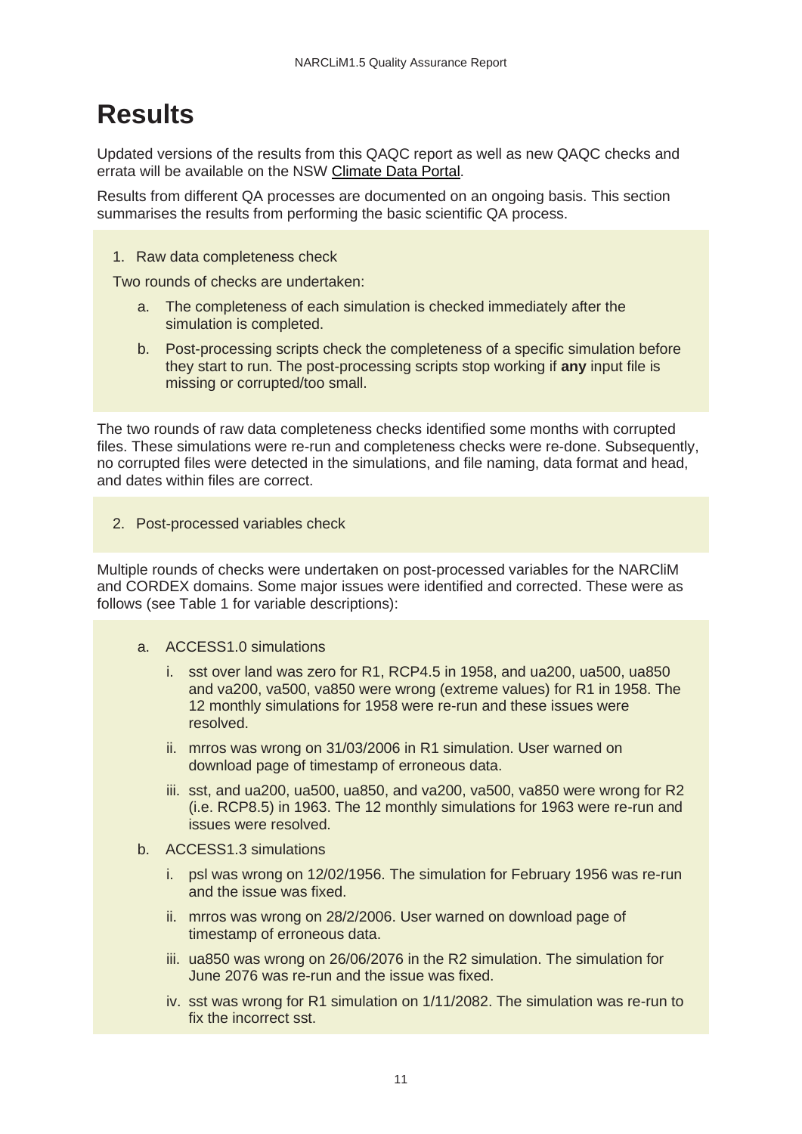## <span id="page-14-0"></span>**Results**

Updated versions of the results from this QAQC report as well as new QAQC checks and errata will be available on the NSW [Climate Data Portal.](https://climatedata.environment.nsw.gov.au/)

Results from different QA processes are documented on an ongoing basis. This section summarises the results from performing the basic scientific QA process.

1. Raw data completeness check

Two rounds of checks are undertaken:

- a. The completeness of each simulation is checked immediately after the simulation is completed.
- b. Post-processing scripts check the completeness of a specific simulation before they start to run. The post-processing scripts stop working if **any** input file is missing or corrupted/too small.

The two rounds of raw data completeness checks identified some months with corrupted files. These simulations were re-run and completeness checks were re-done. Subsequently, no corrupted files were detected in the simulations, and file naming, data format and head, and dates within files are correct.

2. Post-processed variables check

Multiple rounds of checks were undertaken on post-processed variables for the NARCliM and CORDEX domains. Some major issues were identified and corrected. These were as follows (see Table 1 for variable descriptions):

#### a. ACCESS1.0 simulations

- i. sst over land was zero for R1, RCP4.5 in 1958, and ua200, ua500, ua850 and va200, va500, va850 were wrong (extreme values) for R1 in 1958. The 12 monthly simulations for 1958 were re-run and these issues were resolved.
- ii. mrros was wrong on 31/03/2006 in R1 simulation. User warned on download page of timestamp of erroneous data.
- iii. sst, and ua200, ua500, ua850, and va200, va500, va850 were wrong for R2 (i.e. RCP8.5) in 1963. The 12 monthly simulations for 1963 were re-run and issues were resolved.
- b. ACCESS1.3 simulations
	- i. psl was wrong on 12/02/1956. The simulation for February 1956 was re-run and the issue was fixed.
	- ii. mrros was wrong on 28/2/2006. User warned on download page of timestamp of erroneous data.
	- iii. ua850 was wrong on 26/06/2076 in the R2 simulation. The simulation for June 2076 was re-run and the issue was fixed.
	- iv. sst was wrong for R1 simulation on 1/11/2082. The simulation was re-run to fix the incorrect sst.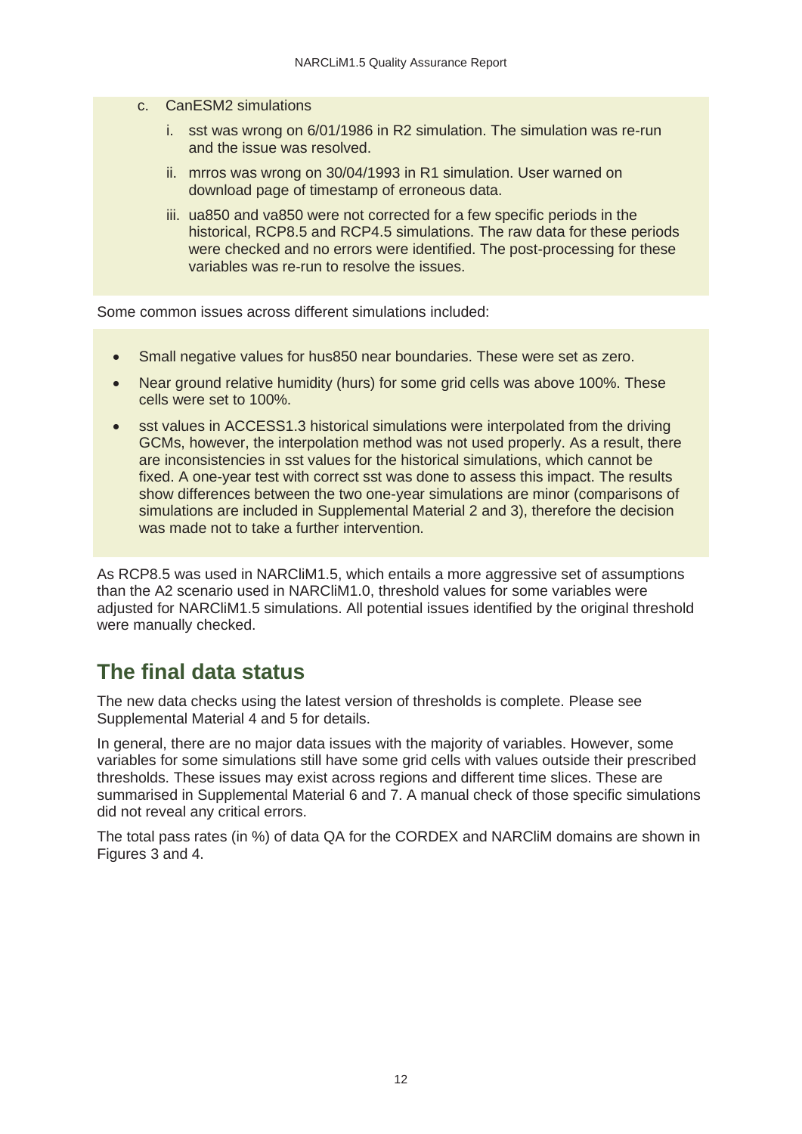- c. CanESM2 simulations
	- i. sst was wrong on 6/01/1986 in R2 simulation. The simulation was re-run and the issue was resolved.
	- ii. mrros was wrong on 30/04/1993 in R1 simulation. User warned on download page of timestamp of erroneous data.
	- iii. ua850 and va850 were not corrected for a few specific periods in the historical, RCP8.5 and RCP4.5 simulations. The raw data for these periods were checked and no errors were identified. The post-processing for these variables was re-run to resolve the issues.

Some common issues across different simulations included:

- Small negative values for hus850 near boundaries. These were set as zero.
- Near ground relative humidity (hurs) for some grid cells was above 100%. These cells were set to 100%.
- sst values in ACCESS1.3 historical simulations were interpolated from the driving GCMs, however, the interpolation method was not used properly. As a result, there are inconsistencies in sst values for the historical simulations, which cannot be fixed. A one-year test with correct sst was done to assess this impact. The results show differences between the two one-year simulations are minor (comparisons of simulations are included in Supplemental Material 2 and 3), therefore the decision was made not to take a further intervention.

As RCP8.5 was used in NARCliM1.5, which entails a more aggressive set of assumptions than the A2 scenario used in NARCliM1.0, threshold values for some variables were adjusted for NARCliM1.5 simulations. All potential issues identified by the original threshold were manually checked.

#### <span id="page-15-0"></span>**The final data status**

The new data checks using the latest version of thresholds is complete. Please see Supplemental Material 4 and 5 for details.

In general, there are no major data issues with the majority of variables. However, some variables for some simulations still have some grid cells with values outside their prescribed thresholds. These issues may exist across regions and different time slices. These are summarised in Supplemental Material 6 and 7. A manual check of those specific simulations did not reveal any critical errors.

The total pass rates (in %) of data QA for the CORDEX and NARCliM domains are shown in Figures 3 and 4.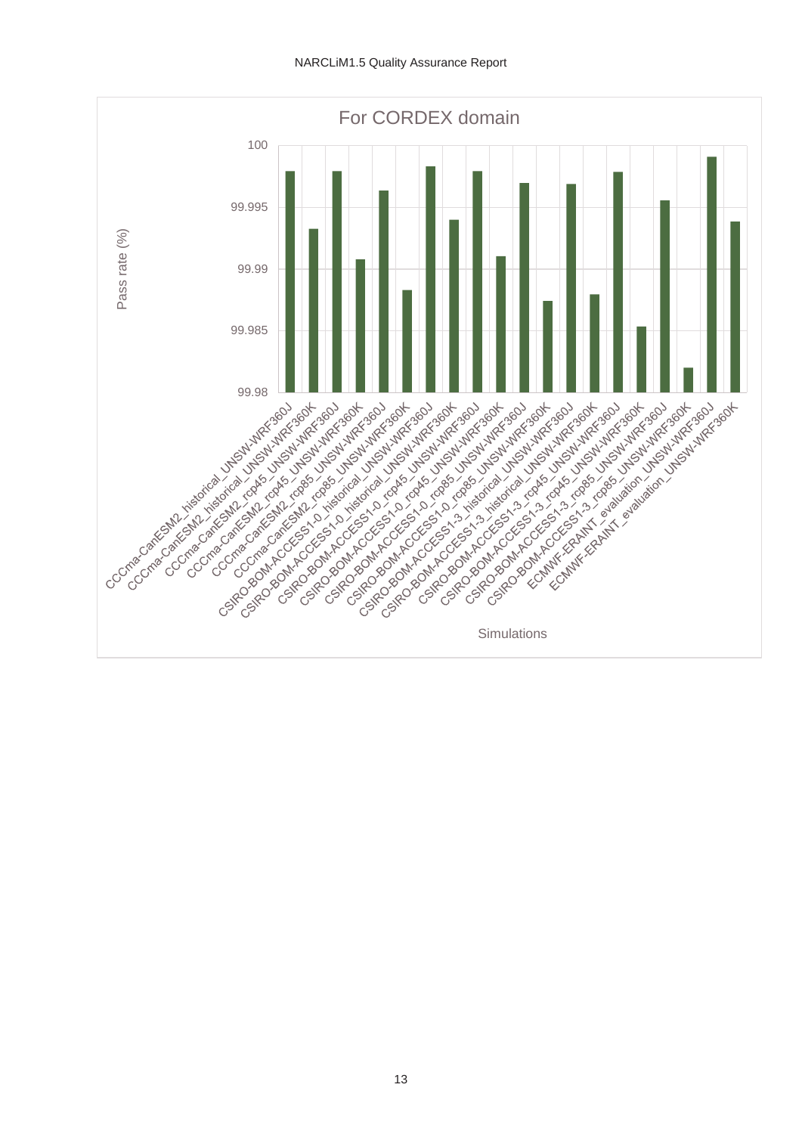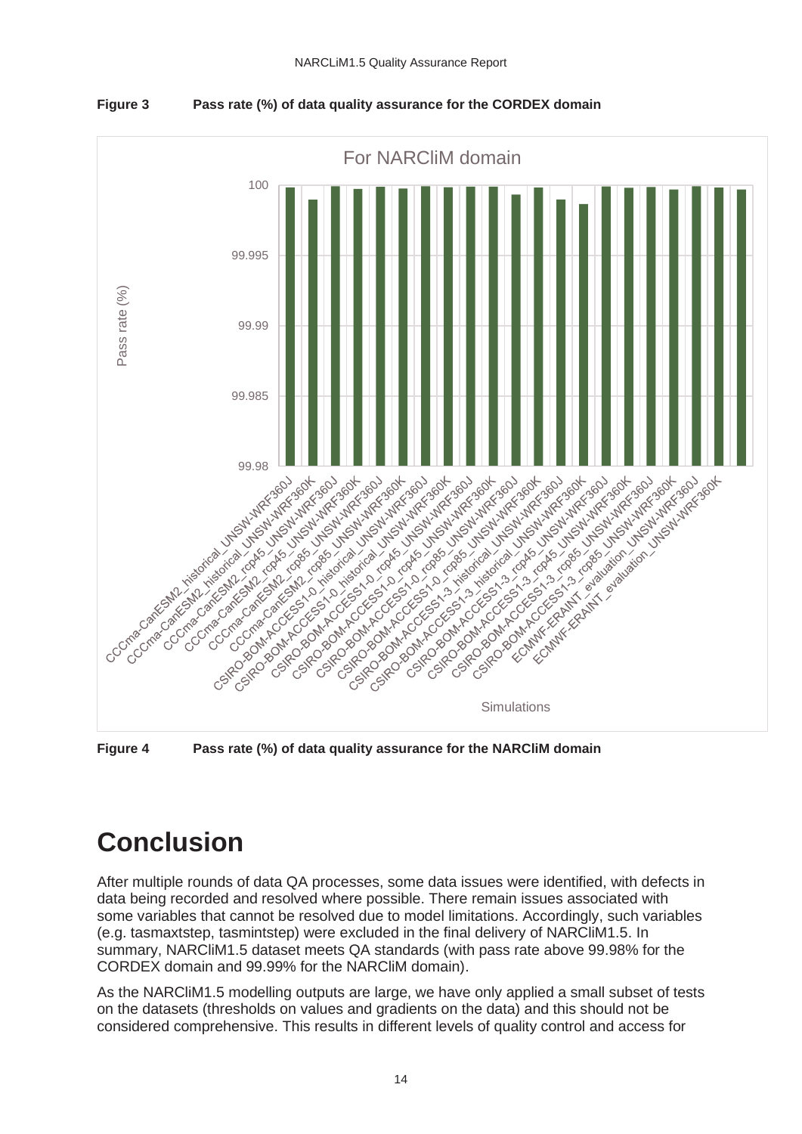

<span id="page-17-1"></span>**Figure 3 Pass rate (%) of data quality assurance for the CORDEX domain**

<span id="page-17-2"></span>**Figure 4 Pass rate (%) of data quality assurance for the NARCliM domain**

## <span id="page-17-0"></span>**Conclusion**

After multiple rounds of data QA processes, some data issues were identified, with defects in data being recorded and resolved where possible. There remain issues associated with some variables that cannot be resolved due to model limitations. Accordingly, such variables (e.g. tasmaxtstep, tasmintstep) were excluded in the final delivery of NARCliM1.5. In summary, NARCliM1.5 dataset meets QA standards (with pass rate above 99.98% for the CORDEX domain and 99.99% for the NARCliM domain).

As the NARCliM1.5 modelling outputs are large, we have only applied a small subset of tests on the datasets (thresholds on values and gradients on the data) and this should not be considered comprehensive. This results in different levels of quality control and access for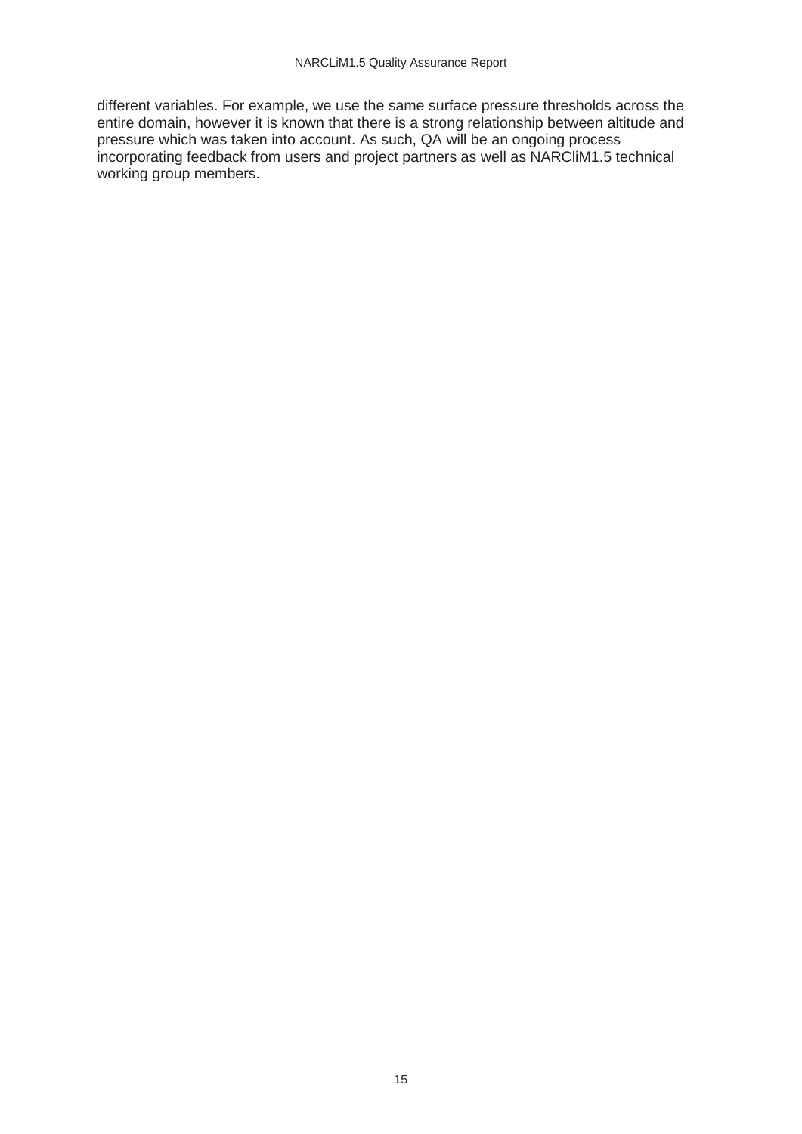different variables. For example, we use the same surface pressure thresholds across the entire domain, however it is known that there is a strong relationship between altitude and pressure which was taken into account. As such, QA will be an ongoing process incorporating feedback from users and project partners as well as NARCliM1.5 technical working group members.